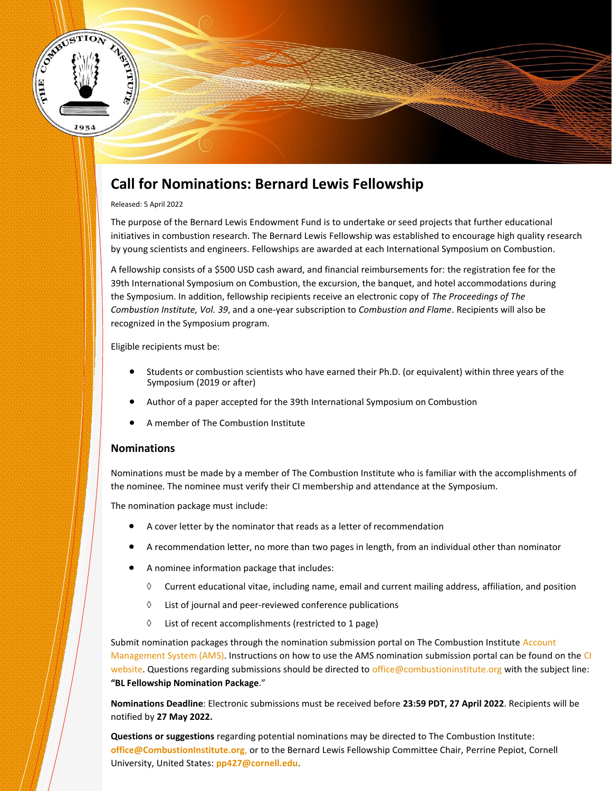

# **Call for Nominations: Bernard Lewis Fellowship**

#### Released: 5 April 2022

The purpose of the Bernard Lewis Endowment Fund is to undertake or seed projects that further educational initiatives in combustion research. The Bernard Lewis Fellowship was established to encourage high quality research by young scientists and engineers. Fellowships are awarded at each International Symposium on Combustion.

A fellowship consists of a \$500 USD cash award, and financial reimbursements for: the registration fee for the 39th International Symposium on Combustion, the excursion, the banquet, and hotel accommodations during the Symposium. In addition, fellowship recipients receive an electronic copy of *The Proceedings of The Combustion Institute, Vol. 39*, and a one-year subscription to *Combustion and Flame*. Recipients will also be recognized in the Symposium program.

Eligible recipients must be:

- Students or combustion scientists who have earned their Ph.D. (or equivalent) within three years of the Symposium (2019 or after)
- Author of a paper accepted for the 39th International Symposium on Combustion
- A member of The Combustion Institute

### **Nominations**

Nominations must be made by a member of The Combustion Institute who is familiar with the accomplishments of the nominee. The nominee must verify their CI membership and attendance at the Symposium.

The nomination package must include:

- A cover letter by the nominator that reads as a letter of recommendation
- A recommendation letter, no more than two pages in length, from an individual other than nominator
- A nominee information package that includes:
	- $\Diamond$  Current educational vitae, including name, email and current mailing address, affiliation, and position
	- $\Diamond$  List of journal and peer-reviewed conference publications
	- $\Diamond$  List of recent accomplishments (restricted to 1 page)

Submit nomination packages through the nomination submission portal on The Combustion Institute [Account](https://ams.combustioninstitute.org/)  [Management System \(AMS\).](https://ams.combustioninstitute.org/) Instructions on how to use the AMS nomination submission portal can be found on the [CI](https://www.combustioninstitute.org/news/nomination-submission-portal-now-open/)  [website.](https://www.combustioninstitute.org/news/nomination-submission-portal-now-open/) Questions regarding submissions should be directed to [office@combustioninstitute.org](mailto:office@combustioninstitute.org) with the subject line: **"BL Fellowship Nomination Package**."

**Nominations Deadline**: Electronic submissions must be received before **23:59 PDT, 27 April 2022**. Recipients will be notified by **27 May 2022.** 

**Questions or suggestions** regarding potential nominations may be directed to The Combustion Institute: **office@CombustionInstitute.org**, or to the Bernard Lewis Fellowship Committee Chair, Perrine Pepiot, Cornell University, United States: **[pp427@cornell.edu](https://thecombustioninstitute.sharepoint.com/sites/PghTeam/Shared%20Documents/Committees/01.%20Bernard%20Lewis/39th%20Symposium%20Bernard%20Lewis/Call%20for%20Nominations/pp427@cornell.edu)**.